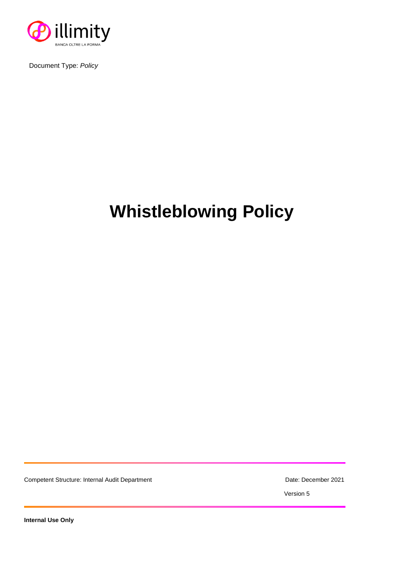

Document Type: *Policy*

# **Whistleblowing Policy**

Competent Structure: Internal Audit Department **Date: December 2021** Date: December 2021

Version 5

**Internal Use Only**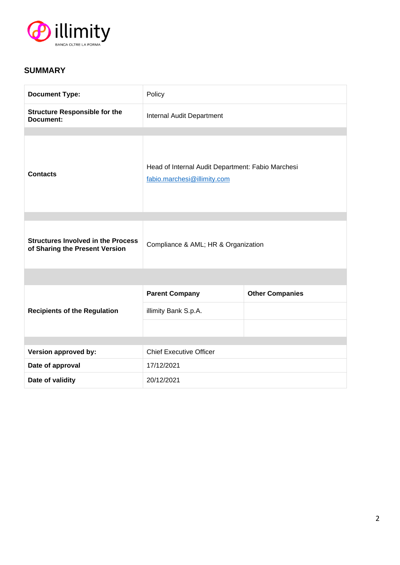

## **SUMMARY**

| <b>Document Type:</b>                                                       | Policy                                                                           |                        |
|-----------------------------------------------------------------------------|----------------------------------------------------------------------------------|------------------------|
| <b>Structure Responsible for the</b><br>Document:                           | Internal Audit Department                                                        |                        |
|                                                                             |                                                                                  |                        |
| <b>Contacts</b>                                                             | Head of Internal Audit Department: Fabio Marchesi<br>fabio.marchesi@illimity.com |                        |
|                                                                             |                                                                                  |                        |
| <b>Structures Involved in the Process</b><br>of Sharing the Present Version | Compliance & AML; HR & Organization                                              |                        |
|                                                                             |                                                                                  |                        |
| <b>Recipients of the Regulation</b>                                         | <b>Parent Company</b>                                                            | <b>Other Companies</b> |
|                                                                             | illimity Bank S.p.A.                                                             |                        |
|                                                                             |                                                                                  |                        |
| Version approved by:                                                        | <b>Chief Executive Officer</b>                                                   |                        |
| Date of approval                                                            | 17/12/2021                                                                       |                        |
| Date of validity                                                            | 20/12/2021                                                                       |                        |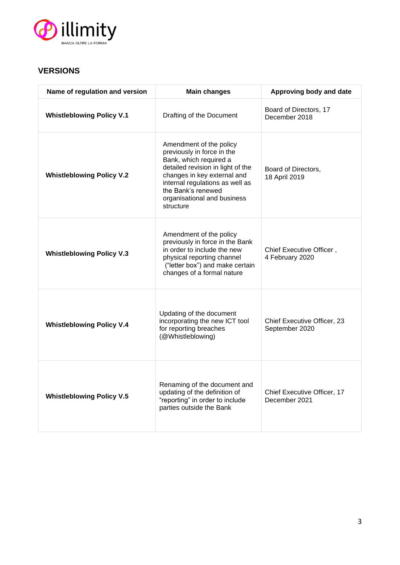

## **VERSIONS**

| Name of regulation and version   | <b>Main changes</b>                                                                                                                                                                                                                                      | Approving body and date                       |
|----------------------------------|----------------------------------------------------------------------------------------------------------------------------------------------------------------------------------------------------------------------------------------------------------|-----------------------------------------------|
| <b>Whistleblowing Policy V.1</b> | Drafting of the Document                                                                                                                                                                                                                                 | Board of Directors, 17<br>December 2018       |
| <b>Whistleblowing Policy V.2</b> | Amendment of the policy<br>previously in force in the<br>Bank, which required a<br>detailed revision in light of the<br>changes in key external and<br>internal regulations as well as<br>the Bank's renewed<br>organisational and business<br>structure | Board of Directors,<br>18 April 2019          |
| <b>Whistleblowing Policy V.3</b> | Amendment of the policy<br>previously in force in the Bank<br>in order to include the new<br>physical reporting channel<br>("letter box") and make certain<br>changes of a formal nature                                                                 | Chief Executive Officer,<br>4 February 2020   |
| <b>Whistleblowing Policy V.4</b> | Updating of the document<br>incorporating the new ICT tool<br>for reporting breaches<br>(@Whistleblowing)                                                                                                                                                | Chief Executive Officer, 23<br>September 2020 |
| <b>Whistleblowing Policy V.5</b> | Renaming of the document and<br>updating of the definition of<br>"reporting" in order to include<br>parties outside the Bank                                                                                                                             | Chief Executive Officer, 17<br>December 2021  |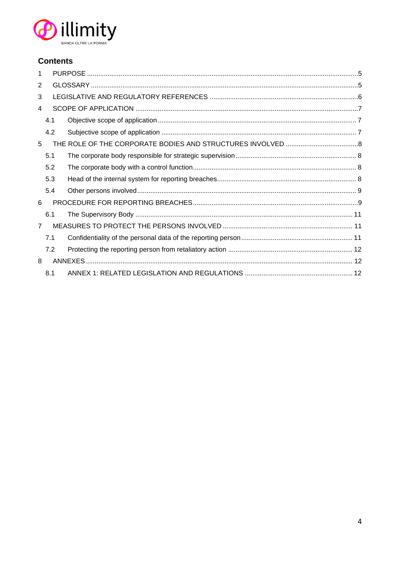

## **Contents**

| 1              |     |  |  |  |  |
|----------------|-----|--|--|--|--|
| 2              |     |  |  |  |  |
| 3              |     |  |  |  |  |
| 4              |     |  |  |  |  |
|                | 4.1 |  |  |  |  |
|                | 4.2 |  |  |  |  |
| 5              |     |  |  |  |  |
|                | 5.1 |  |  |  |  |
|                | 5.2 |  |  |  |  |
|                | 5.3 |  |  |  |  |
|                | 5.4 |  |  |  |  |
| 6              |     |  |  |  |  |
|                | 6.1 |  |  |  |  |
| $\overline{7}$ |     |  |  |  |  |
|                | 7.1 |  |  |  |  |
|                | 7.2 |  |  |  |  |
| 8              |     |  |  |  |  |
|                | 8.1 |  |  |  |  |
|                |     |  |  |  |  |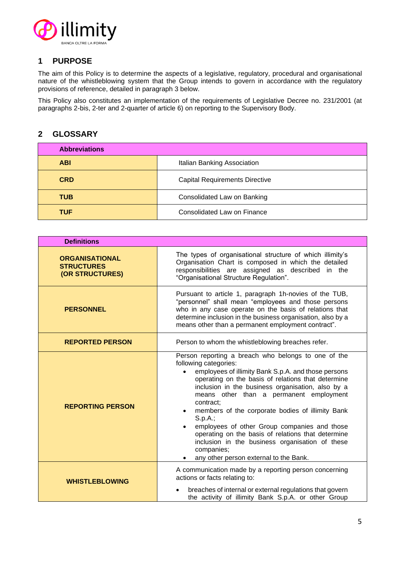

## **1 PURPOSE**

The aim of this Policy is to determine the aspects of a legislative, regulatory, procedural and organisational nature of the whistleblowing system that the Group intends to govern in accordance with the regulatory provisions of reference, detailed in paragraph 3 below.

This Policy also constitutes an implementation of the requirements of Legislative Decree no. 231/2001 (at paragraphs 2-bis, 2-ter and 2-quarter of article 6) on reporting to the Supervisory Body.

## **2 GLOSSARY**

| <b>Abbreviations</b> |                                       |
|----------------------|---------------------------------------|
| <b>ABI</b>           | Italian Banking Association           |
| <b>CRD</b>           | <b>Capital Requirements Directive</b> |
| <b>TUB</b>           | Consolidated Law on Banking           |
| <b>TUF</b>           | Consolidated Law on Finance           |

| <b>Definitions</b>                                            |                                                                                                                                                                                                                                                                                                                                                                                                                                                                                                                                                                                                                                               |  |
|---------------------------------------------------------------|-----------------------------------------------------------------------------------------------------------------------------------------------------------------------------------------------------------------------------------------------------------------------------------------------------------------------------------------------------------------------------------------------------------------------------------------------------------------------------------------------------------------------------------------------------------------------------------------------------------------------------------------------|--|
| <b>ORGANISATIONAL</b><br><b>STRUCTURES</b><br>(OR STRUCTURES) | The types of organisational structure of which illimity's<br>Organisation Chart is composed in which the detailed<br>responsibilities are assigned as described in the<br>"Organisational Structure Regulation".                                                                                                                                                                                                                                                                                                                                                                                                                              |  |
| <b>PERSONNEL</b>                                              | Pursuant to article 1, paragraph 1h-novies of the TUB,<br>"personnel" shall mean "employees and those persons<br>who in any case operate on the basis of relations that<br>determine inclusion in the business organisation, also by a<br>means other than a permanent employment contract".                                                                                                                                                                                                                                                                                                                                                  |  |
| <b>REPORTED PERSON</b>                                        | Person to whom the whistleblowing breaches refer.                                                                                                                                                                                                                                                                                                                                                                                                                                                                                                                                                                                             |  |
| <b>REPORTING PERSON</b>                                       | Person reporting a breach who belongs to one of the<br>following categories:<br>employees of illimity Bank S.p.A. and those persons<br>$\bullet$<br>operating on the basis of relations that determine<br>inclusion in the business organisation, also by a<br>means other than a permanent employment<br>contract;<br>members of the corporate bodies of illimity Bank<br>$\bullet$<br>$S.p.A.$ ;<br>employees of other Group companies and those<br>$\bullet$<br>operating on the basis of relations that determine<br>inclusion in the business organisation of these<br>companies;<br>any other person external to the Bank.<br>$\bullet$ |  |
| <b>WHISTLEBLOWING</b>                                         | A communication made by a reporting person concerning<br>actions or facts relating to:<br>breaches of internal or external regulations that govern<br>the activity of illimity Bank S.p.A. or other Group                                                                                                                                                                                                                                                                                                                                                                                                                                     |  |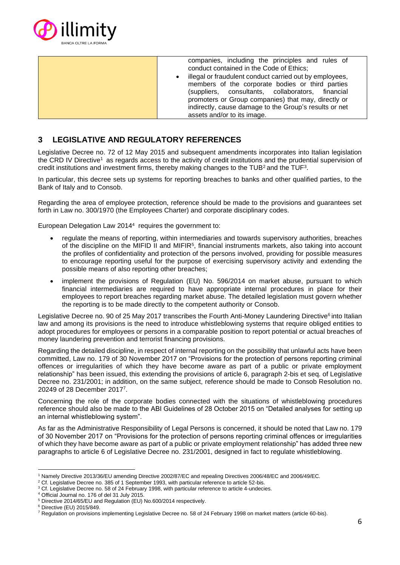

companies, including the principles and rules of conduct contained in the Code of Ethics;

illegal or fraudulent conduct carried out by employees, members of the corporate bodies or third parties<br>(suppliers, consultants, collaborators, financial (suppliers, consultants, collaborators, financial promoters or Group companies) that may, directly or indirectly, cause damage to the Group's results or net assets and/or to its image.

## **3 LEGISLATIVE AND REGULATORY REFERENCES**

Legislative Decree no. 72 of 12 May 2015 and subsequent amendments incorporates into Italian legislation the CRD IV Directive<sup>1</sup> as regards access to the activity of credit institutions and the prudential supervision of credit institutions and investment firms, thereby making changes to the TUB<sup>2</sup> and the TUF<sup>3</sup>.

In particular, this decree sets up systems for reporting breaches to banks and other qualified parties, to the Bank of Italy and to Consob.

Regarding the area of employee protection, reference should be made to the provisions and guarantees set forth in Law no. 300/1970 (the Employees Charter) and corporate disciplinary codes.

European Delegation Law 2014<sup>4</sup> requires the government to:

- regulate the means of reporting, within intermediaries and towards supervisory authorities, breaches of the discipline on the MIFID II and MIFIR<sup>5</sup>, financial instruments markets, also taking into account the profiles of confidentiality and protection of the persons involved, providing for possible measures to encourage reporting useful for the purpose of exercising supervisory activity and extending the possible means of also reporting other breaches;
- implement the provisions of Regulation (EU) No. 596/2014 on market abuse, pursuant to which financial intermediaries are required to have appropriate internal procedures in place for their employees to report breaches regarding market abuse. The detailed legislation must govern whether the reporting is to be made directly to the competent authority or Consob.

Legislative Decree no. 90 of 25 May 2017 transcribes the Fourth Anti-Money Laundering Directive<sup>6</sup> into Italian law and among its provisions is the need to introduce whistleblowing systems that require obliged entities to adopt procedures for employees or persons in a comparable position to report potential or actual breaches of money laundering prevention and terrorist financing provisions.

Regarding the detailed discipline, in respect of internal reporting on the possibility that unlawful acts have been committed, Law no. 179 of 30 November 2017 on "Provisions for the protection of persons reporting criminal offences or irregularities of which they have become aware as part of a public or private employment relationship" has been issued, this extending the provisions of article 6, paragraph 2-bis et seq. of Legislative Decree no. 231/2001; in addition, on the same subject, reference should be made to Consob Resolution no. 20249 of 28 December 2017<sup>7</sup> .

Concerning the role of the corporate bodies connected with the situations of whistleblowing procedures reference should also be made to the ABI Guidelines of 28 October 2015 on "Detailed analyses for setting up an internal whistleblowing system".

As far as the Administrative Responsibility of Legal Persons is concerned, it should be noted that Law no. 179 of 30 November 2017 on "Provisions for the protection of persons reporting criminal offences or irregularities of which they have become aware as part of a public or private employment relationship" has added three new paragraphs to article 6 of Legislative Decree no. 231/2001, designed in fact to regulate whistleblowing.

<sup>1</sup> Namely Directive 2013/36/EU amending Directive 2002/87/EC and repealing Directives 2006/48/EC and 2006/49/EC.

<sup>&</sup>lt;sup>2</sup> Cf. Legislative Decree no. 385 of 1 September 1993, with particular reference to article 52-bis.

<sup>&</sup>lt;sup>3</sup> Cf. Legislative Decree no. 58 of 24 February 1998, with particular reference to article 4-undecies.

<sup>4</sup> Official Journal no. 176 of del 31 July 2015. <sup>5</sup> Directive 2014/65/EU and Regulation (EU) No.600/2014 respectively.

<sup>6</sup> Directive (EU) 2015/849.

<sup>7</sup> Regulation on provisions implementing Legislative Decree no. 58 of 24 February 1998 on market matters (article 60-bis).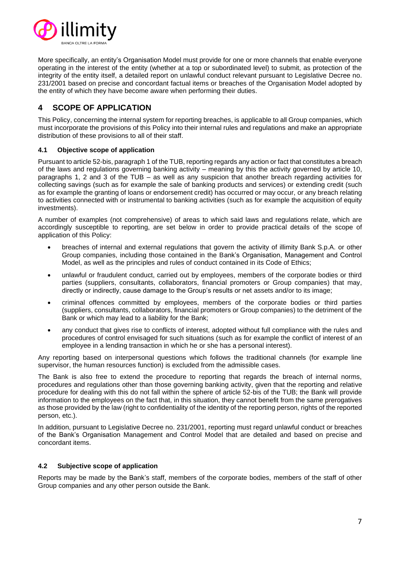

More specifically, an entity's Organisation Model must provide for one or more channels that enable everyone operating in the interest of the entity (whether at a top or subordinated level) to submit, as protection of the integrity of the entity itself, a detailed report on unlawful conduct relevant pursuant to Legislative Decree no. 231/2001 based on precise and concordant factual items or breaches of the Organisation Model adopted by the entity of which they have become aware when performing their duties.

## **4 SCOPE OF APPLICATION**

This Policy, concerning the internal system for reporting breaches, is applicable to all Group companies, which must incorporate the provisions of this Policy into their internal rules and regulations and make an appropriate distribution of these provisions to all of their staff.

#### **4.1 Objective scope of application**

Pursuant to article 52-bis, paragraph 1 of the TUB, reporting regards any action or fact that constitutes a breach of the laws and regulations governing banking activity – meaning by this the activity governed by article 10, paragraphs 1, 2 and 3 of the TUB – as well as any suspicion that another breach regarding activities for collecting savings (such as for example the sale of banking products and services) or extending credit (such as for example the granting of loans or endorsement credit) has occurred or may occur, or any breach relating to activities connected with or instrumental to banking activities (such as for example the acquisition of equity investments).

A number of examples (not comprehensive) of areas to which said laws and regulations relate, which are accordingly susceptible to reporting, are set below in order to provide practical details of the scope of application of this Policy:

- breaches of internal and external regulations that govern the activity of illimity Bank S.p.A. or other Group companies, including those contained in the Bank's Organisation, Management and Control Model, as well as the principles and rules of conduct contained in its Code of Ethics;
- unlawful or fraudulent conduct, carried out by employees, members of the corporate bodies or third parties (suppliers, consultants, collaborators, financial promoters or Group companies) that may, directly or indirectly, cause damage to the Group's results or net assets and/or to its image;
- criminal offences committed by employees, members of the corporate bodies or third parties (suppliers, consultants, collaborators, financial promoters or Group companies) to the detriment of the Bank or which may lead to a liability for the Bank;
- any conduct that gives rise to conflicts of interest, adopted without full compliance with the rules and procedures of control envisaged for such situations (such as for example the conflict of interest of an employee in a lending transaction in which he or she has a personal interest).

Any reporting based on interpersonal questions which follows the traditional channels (for example line supervisor, the human resources function) is excluded from the admissible cases.

The Bank is also free to extend the procedure to reporting that regards the breach of internal norms, procedures and regulations other than those governing banking activity, given that the reporting and relative procedure for dealing with this do not fall within the sphere of article 52-bis of the TUB; the Bank will provide information to the employees on the fact that, in this situation, they cannot benefit from the same prerogatives as those provided by the law (right to confidentiality of the identity of the reporting person, rights of the reported person, etc.).

In addition, pursuant to Legislative Decree no. 231/2001, reporting must regard unlawful conduct or breaches of the Bank's Organisation Management and Control Model that are detailed and based on precise and concordant items.

#### **4.2 Subjective scope of application**

Reports may be made by the Bank's staff, members of the corporate bodies, members of the staff of other Group companies and any other person outside the Bank.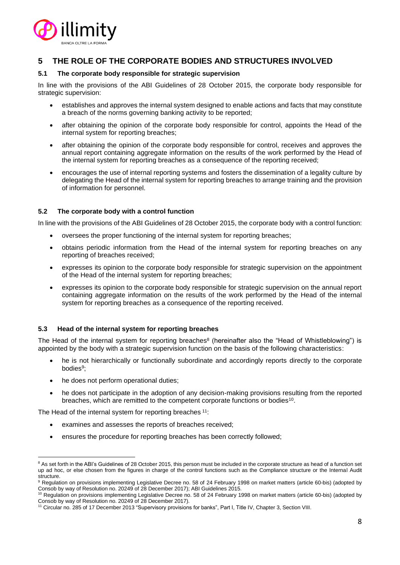

## **5 THE ROLE OF THE CORPORATE BODIES AND STRUCTURES INVOLVED**

#### **5.1 The corporate body responsible for strategic supervision**

In line with the provisions of the ABI Guidelines of 28 October 2015, the corporate body responsible for strategic supervision:

- establishes and approves the internal system designed to enable actions and facts that may constitute a breach of the norms governing banking activity to be reported;
- after obtaining the opinion of the corporate body responsible for control, appoints the Head of the internal system for reporting breaches;
- after obtaining the opinion of the corporate body responsible for control, receives and approves the annual report containing aggregate information on the results of the work performed by the Head of the internal system for reporting breaches as a consequence of the reporting received;
- encourages the use of internal reporting systems and fosters the dissemination of a legality culture by delegating the Head of the internal system for reporting breaches to arrange training and the provision of information for personnel.

#### **5.2 The corporate body with a control function**

In line with the provisions of the ABI Guidelines of 28 October 2015, the corporate body with a control function:

- oversees the proper functioning of the internal system for reporting breaches;
- obtains periodic information from the Head of the internal system for reporting breaches on any reporting of breaches received;
- expresses its opinion to the corporate body responsible for strategic supervision on the appointment of the Head of the internal system for reporting breaches;
- expresses its opinion to the corporate body responsible for strategic supervision on the annual report containing aggregate information on the results of the work performed by the Head of the internal system for reporting breaches as a consequence of the reporting received.

#### **5.3 Head of the internal system for reporting breaches**

The Head of the internal system for reporting breaches<sup>8</sup> (hereinafter also the "Head of Whistleblowing") is appointed by the body with a strategic supervision function on the basis of the following characteristics:

- he is not hierarchically or functionally subordinate and accordingly reports directly to the corporate bodies<sup>9</sup>;
- he does not perform operational duties;
- he does not participate in the adoption of any decision-making provisions resulting from the reported breaches, which are remitted to the competent corporate functions or bodies<sup>10</sup>.

The Head of the internal system for reporting breaches <sup>11</sup>:

- examines and assesses the reports of breaches received;
- ensures the procedure for reporting breaches has been correctly followed;

<sup>&</sup>lt;sup>8</sup> As set forth in the ABI's Guidelines of 28 October 2015, this person must be included in the corporate structure as head of a function set up ad hoc, or else chosen from the figures in charge of the control functions such as the Compliance structure or the Internal Audit structure.

<sup>&</sup>lt;sup>9</sup> Regulation on provisions implementing Legislative Decree no. 58 of 24 February 1998 on market matters (article 60-bis) (adopted by Consob by way of Resolution no. 20249 of 28 December 2017); ABI Guidelines 2015.

<sup>&</sup>lt;sup>10</sup> Regulation on provisions implementing Legislative Decree no. 58 of 24 February 1998 on market matters (article 60-bis) (adopted by Consob by way of Resolution no. 20249 of 28 December 2017).

<sup>&</sup>lt;sup>11</sup> Circular no. 285 of 17 December 2013 "Supervisory provisions for banks", Part I, Title IV, Chapter 3, Section VIII.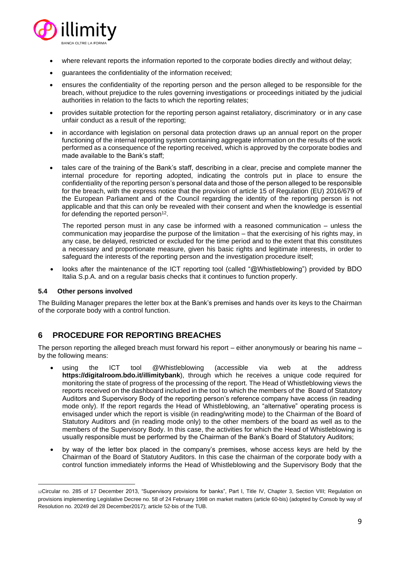

- where relevant reports the information reported to the corporate bodies directly and without delay;
- guarantees the confidentiality of the information received;
- ensures the confidentiality of the reporting person and the person alleged to be responsible for the breach, without prejudice to the rules governing investigations or proceedings initiated by the judicial authorities in relation to the facts to which the reporting relates;
- provides suitable protection for the reporting person against retaliatory, discriminatory or in any case unfair conduct as a result of the reporting;
- in accordance with legislation on personal data protection draws up an annual report on the proper functioning of the internal reporting system containing aggregate information on the results of the work performed as a consequence of the reporting received, which is approved by the corporate bodies and made available to the Bank's staff;
- tales care of the training of the Bank's staff, describing in a clear, precise and complete manner the internal procedure for reporting adopted, indicating the controls put in place to ensure the confidentiality of the reporting person's personal data and those of the person alleged to be responsible for the breach, with the express notice that the provision of article 15 of Regulation (EU) 2016/679 of the European Parliament and of the Council regarding the identity of the reporting person is not applicable and that this can only be revealed with their consent and when the knowledge is essential for defending the reported person $^{12}$ .

The reported person must in any case be informed with a reasoned communication – unless the communication may jeopardise the purpose of the limitation – that the exercising of his rights may, in any case, be delayed, restricted or excluded for the time period and to the extent that this constitutes a necessary and proportionate measure, given his basic rights and legitimate interests, in order to safeguard the interests of the reporting person and the investigation procedure itself;

• looks after the maintenance of the ICT reporting tool (called "@Whistleblowing") provided by BDO Italia S.p.A. and on a regular basis checks that it continues to function properly.

#### **5.4 Other persons involved**

The Building Manager prepares the letter box at the Bank's premises and hands over its keys to the Chairman of the corporate body with a control function.

## **6 PROCEDURE FOR REPORTING BREACHES**

The person reporting the alleged breach must forward his report – either anonymously or bearing his name – by the following means:

- using the ICT tool @Whistleblowing (accessible via web at the address **https://digitalroom.bdo.it/illimitybank**), through which he receives a unique code required for monitoring the state of progress of the processing of the report. The Head of Whistleblowing views the reports received on the dashboard included in the tool to which the members of the Board of Statutory Auditors and Supervisory Body of the reporting person's reference company have access (in reading mode only). If the report regards the Head of Whistleblowing, an "alternative" operating process is envisaged under which the report is visible (in reading/writing mode) to the Chairman of the Board of Statutory Auditors and (in reading mode only) to the other members of the board as well as to the members of the Supervisory Body. In this case, the activities for which the Head of Whistleblowing is usually responsible must be performed by the Chairman of the Bank's Board of Statutory Auditors;
- by way of the letter box placed in the company's premises, whose access keys are held by the Chairman of the Board of Statutory Auditors. In this case the chairman of the corporate body with a control function immediately informs the Head of Whistleblowing and the Supervisory Body that the

<sup>12</sup>Circular no. 285 of 17 December 2013, "Supervisory provisions for banks", Part I, Title IV, Chapter 3, Section VIII; Regulation on provisions implementing Legislative Decree no. 58 of 24 February 1998 on market matters (article 60-bis) (adopted by Consob by way of Resolution no. 20249 del 28 December2017); article 52-bis of the TUB.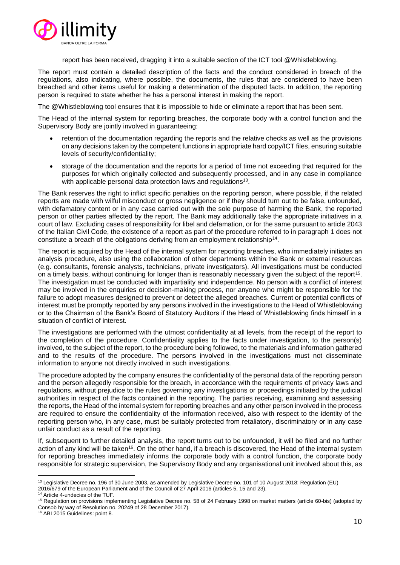

report has been received, dragging it into a suitable section of the ICT tool @Whistleblowing.

The report must contain a detailed description of the facts and the conduct considered in breach of the regulations, also indicating, where possible, the documents, the rules that are considered to have been breached and other items useful for making a determination of the disputed facts. In addition, the reporting person is required to state whether he has a personal interest in making the report.

The @Whistleblowing tool ensures that it is impossible to hide or eliminate a report that has been sent.

The Head of the internal system for reporting breaches, the corporate body with a control function and the Supervisory Body are jointly involved in guaranteeing:

- retention of the documentation regarding the reports and the relative checks as well as the provisions on any decisions taken by the competent functions in appropriate hard copy/ICT files, ensuring suitable levels of security/confidentiality;
- storage of the documentation and the reports for a period of time not exceeding that required for the purposes for which originally collected and subsequently processed, and in any case in compliance with applicable personal data protection laws and regulations<sup>13</sup>.

The Bank reserves the right to inflict specific penalties on the reporting person, where possible, if the related reports are made with wilful misconduct or gross negligence or if they should turn out to be false, unfounded, with defamatory content or in any case carried out with the sole purpose of harming the Bank, the reported person or other parties affected by the report. The Bank may additionally take the appropriate initiatives in a court of law. Excluding cases of responsibility for libel and defamation, or for the same pursuant to article 2043 of the Italian Civil Code, the existence of a report as part of the procedure referred to in paragraph 1 does not constitute a breach of the obligations deriving from an employment relationship<sup>14</sup>.

The report is acquired by the Head of the internal system for reporting breaches, who immediately initiates an analysis procedure, also using the collaboration of other departments within the Bank or external resources (e.g. consultants, forensic analysts, technicians, private investigators). All investigations must be conducted on a timely basis, without continuing for longer than is reasonably necessary given the subject of the report<sup>15</sup>. The investigation must be conducted with impartiality and independence. No person with a conflict of interest may be involved in the enquiries or decision-making process, nor anyone who might be responsible for the failure to adopt measures designed to prevent or detect the alleged breaches. Current or potential conflicts of interest must be promptly reported by any persons involved in the investigations to the Head of Whistleblowing or to the Chairman of the Bank's Board of Statutory Auditors if the Head of Whistleblowing finds himself in a situation of conflict of interest.

The investigations are performed with the utmost confidentiality at all levels, from the receipt of the report to the completion of the procedure. Confidentiality applies to the facts under investigation, to the person(s) involved, to the subject of the report, to the procedure being followed, to the materials and information gathered and to the results of the procedure. The persons involved in the investigations must not disseminate information to anyone not directly involved in such investigations.

The procedure adopted by the company ensures the confidentiality of the personal data of the reporting person and the person allegedly responsible for the breach, in accordance with the requirements of privacy laws and regulations, without prejudice to the rules governing any investigations or proceedings initiated by the judicial authorities in respect of the facts contained in the reporting. The parties receiving, examining and assessing the reports, the Head of the internal system for reporting breaches and any other person involved in the process are required to ensure the confidentiality of the information received, also with respect to the identity of the reporting person who, in any case, must be suitably protected from retaliatory, discriminatory or in any case unfair conduct as a result of the reporting.

If, subsequent to further detailed analysis, the report turns out to be unfounded, it will be filed and no further action of any kind will be taken<sup>16</sup>. On the other hand, if a breach is discovered, the Head of the internal system for reporting breaches immediately informs the corporate body with a control function, the corporate body responsible for strategic supervision, the Supervisory Body and any organisational unit involved about this, as

2016/679 of the European Parliament and of the Council of 27 April 2016 (articles 5, 15 and 23).

<sup>&</sup>lt;sup>13</sup> Legislative Decree no. 196 of 30 June 2003, as amended by Legislative Decree no. 101 of 10 August 2018; Regulation (EU)

<sup>&</sup>lt;sup>14</sup> Article 4-undecies of the TUF.

<sup>15</sup> Regulation on provisions implementing Legislative Decree no. 58 of 24 February 1998 on market matters (article 60-bis) (adopted by Consob by way of Resolution no. 20249 of 28 December 2017).

<sup>16</sup> ABI 2015 Guidelines: point 8.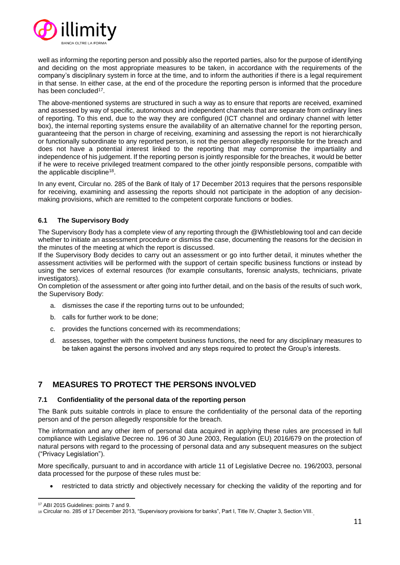

well as informing the reporting person and possibly also the reported parties, also for the purpose of identifying and deciding on the most appropriate measures to be taken, in accordance with the requirements of the company's disciplinary system in force at the time, and to inform the authorities if there is a legal requirement in that sense. In either case, at the end of the procedure the reporting person is informed that the procedure has been concluded<sup>17</sup>.

The above-mentioned systems are structured in such a way as to ensure that reports are received, examined and assessed by way of specific, autonomous and independent channels that are separate from ordinary lines of reporting. To this end, due to the way they are configured (ICT channel and ordinary channel with letter box), the internal reporting systems ensure the availability of an alternative channel for the reporting person, guaranteeing that the person in charge of receiving, examining and assessing the report is not hierarchically or functionally subordinate to any reported person, is not the person allegedly responsible for the breach and does not have a potential interest linked to the reporting that may compromise the impartiality and independence of his judgement. If the reporting person is jointly responsible for the breaches, it would be better if he were to receive privileged treatment compared to the other jointly responsible persons, compatible with the applicable discipline<sup>18</sup>.

In any event, Circular no. 285 of the Bank of Italy of 17 December 2013 requires that the persons responsible for receiving, examining and assessing the reports should not participate in the adoption of any decisionmaking provisions, which are remitted to the competent corporate functions or bodies.

#### **6.1 The Supervisory Body**

The Supervisory Body has a complete view of any reporting through the @Whistleblowing tool and can decide whether to initiate an assessment procedure or dismiss the case, documenting the reasons for the decision in the minutes of the meeting at which the report is discussed.

If the Supervisory Body decides to carry out an assessment or go into further detail, it minutes whether the assessment activities will be performed with the support of certain specific business functions or instead by using the services of external resources (for example consultants, forensic analysts, technicians, private investigators).

On completion of the assessment or after going into further detail, and on the basis of the results of such work, the Supervisory Body:

- a. dismisses the case if the reporting turns out to be unfounded;
- b. calls for further work to be done;
- c. provides the functions concerned with its recommendations;
- d. assesses, together with the competent business functions, the need for any disciplinary measures to be taken against the persons involved and any steps required to protect the Group's interests.

## **7 MEASURES TO PROTECT THE PERSONS INVOLVED**

#### **7.1 Confidentiality of the personal data of the reporting person**

The Bank puts suitable controls in place to ensure the confidentiality of the personal data of the reporting person and of the person allegedly responsible for the breach.

The information and any other item of personal data acquired in applying these rules are processed in full compliance with Legislative Decree no. 196 of 30 June 2003, Regulation (EU) 2016/679 on the protection of natural persons with regard to the processing of personal data and any subsequent measures on the subject ("Privacy Legislation").

More specifically, pursuant to and in accordance with article 11 of Legislative Decree no. 196/2003, personal data processed for the purpose of these rules must be:

• restricted to data strictly and objectively necessary for checking the validity of the reporting and for

<sup>17</sup> ABI 2015 Guidelines: points 7 and 9.

<sup>18</sup> Circular no. 285 of 17 December 2013, "Supervisory provisions for banks", Part I, Title IV, Chapter 3, Section VIII.